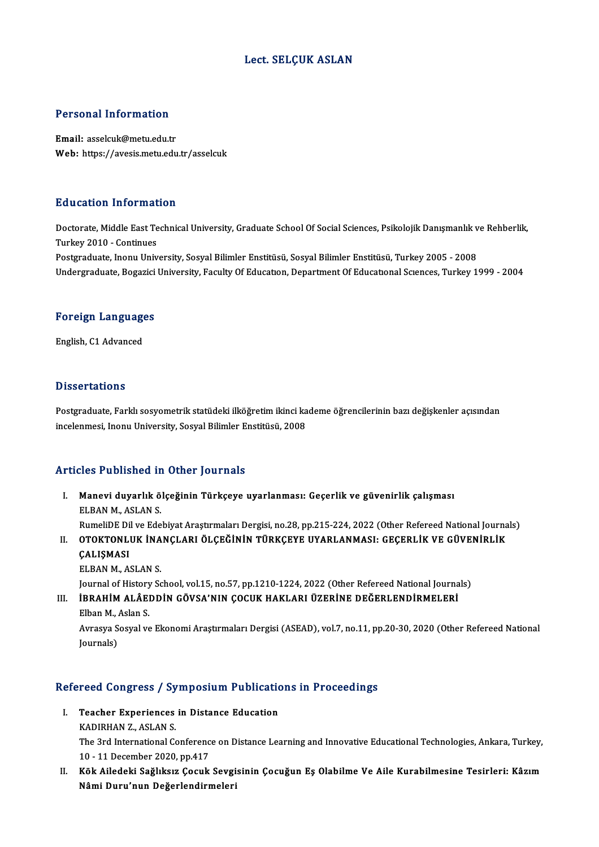## Lect. SELÇUK ASLAN

## Personal Information

Email: asselcuk@metu.edu.tr Web: https://avesis.metu.edu.tr/asselcuk

### Education Information

**Education Information**<br>Doctorate, Middle East Technical University, Graduate School Of Social Sciences, Psikolojik Danışmanlık ve Rehberlik,<br>Turkey 2010, Gontinues Turkey<br>Doctorate, Middle East Te<br>Turkey 2010 - Continues<br>Bostaraduate, Inony Univ Turkey 2010 - Continues<br>Postgraduate, Inonu University, Sosyal Bilimler Enstitüsü, Sosyal Bilimler Enstitüsü, Turkey 2005 - 2008 Undergraduate, Bogazici University, Faculty Of Education, Department Of Educational Sciences, Turkey 1999 - 2004

## <sub>ondergraduate, bogazici<br>Foreign Languages</sub> F<mark>oreign Languag</mark>e<br>English, C1 Advanced

English, C1 Advanced<br>Dissertations

Dissertations<br>Postgraduate, Farklı sosyometrik statüdeki ilköğretim ikinci kademe öğrencilerinin bazı değişkenler açısından<br>İncelenmesi, İnenu University, Sesval Bilimler Enstitüsü, 2008 2 isses tationis<br>Postgraduate, Farklı sosyometrik statüdeki ilköğretim ikinci ka<br>incelenmesi, Inonu University, Sosyal Bilimler Enstitüsü, 2008 incelenmesi, Inonu University, Sosyal Bilimler Enstitüsü, 2008<br>Articles Published in Other Journals

rticles Published in Other Journals<br>I. Manevi duyarlık ölçeğinin Türkçeye uyarlanması: Geçerlik ve güvenirlik çalışması<br>FURANM ASLAN S Manevi duyarlık ö<br>Manevi duyarlık ö<br>ELBAN M., ASLAN S.<br>BumeliDE Dil*ye* Ede ELBAN M., ASLAN S.<br>RumeliDE Dil ve Edebiyat Araştırmaları Dergisi, no.28, pp.215-224, 2022 (Other Refereed National Journals) ELBAN M., ASLAN S.<br>RumeliDE Dil ve Edebiyat Araştırmaları Dergisi, no.28, pp.215-224, 2022 (Other Refereed National Journa<br>II. OTOKTONLUK İNANÇLARI ÖLÇEĞİNİN TÜRKÇEYE UYARLANMASI: GEÇERLİK VE GÜVENİRLİK<br>CALISMASI RumeliDE Di<br>OTOKTONLI<br>ÇALIŞMASI<br>ELPAN M. A

OTOKTONLUK İNA<br>ÇALIŞMASI<br>ELBAN M., ASLAN S.<br>Journal of History Sc CALISMASI<br>ELBAN M., ASLAN S.<br>Journal of History School, vol.15, no.57, pp.1210-1224, 2022 (Other Refereed National Journals) ELBAN M., ASLAN S.<br>Journal of History School, vol.15, no.57, pp.1210-1224, 2022 (Other Refereed National Journa<br>III. İBRAHİM ALÂEDDİN GÖVSA'NIN ÇOCUK HAKLARI ÜZERİNE DEĞERLENDİRMELERİ<br>Elban M. Aslan S Journal of History<br><mark>İBRAHİM ALÂE</mark><br>Elban M., Aslan S.<br>Aurasua Sosual ve

İBRAHİM ALÂEDDİN GÖVSA'NIN ÇOCUK HAKLARI ÜZERİNE DEĞERLENDİRMELERİ<br>Elban M., Aslan S.<br>Avrasya Sosyal ve Ekonomi Araştırmaları Dergisi (ASEAD), vol.7, no.11, pp.20-30, 2020 (Other Refereed National<br>Journale) Elban M., .<br>Avrasya S<br>Journals)

# <sub>Journais)</sub><br>Refereed Congress / Symposium Publications in Proceedings

- efereed Congress / Symposium Publication<br>I. Teacher Experiences in Distance Education I. Teacher Experiences in Distance Education<br>KADIRHAN Z., ASLAN S. Teacher Experiences in Distance Education<br>KADIRHAN Z., ASLAN S.<br>The 3rd International Conference on Distance Learning and Innovative Educational Technologies, Ankara, Turkey, KADIRHAN Z., ASLAN S.<br>The 3rd International Conferenc<br>10 - 11 December 2020, pp.417<br>Käk Ailadeki Sažlıkay Casuk 10 - 11 December 2020, pp.417<br>II. Kök Ailedeki Sağlıksız Çocuk Sevgisinin Çocuğun Eş Olabilme Ve Aile Kurabilmesine Tesirleri: Kâzım
- Nâmi Duru'nun Değerlendirmeleri